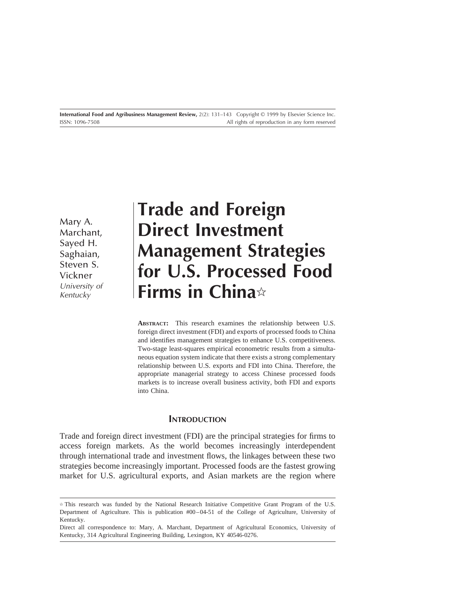Mary A. Marchant, Sayed H. Saghaian, Steven S. Vickner University of Kentucky

# **Trade and Foreign Direct Investment Management Strategies for U.S. Processed Food Firms in China**<

**ABSTRACT:** This research examines the relationship between U.S. foreign direct investment (FDI) and exports of processed foods to China and identifies management strategies to enhance U.S. competitiveness. Two-stage least-squares empirical econometric results from a simultaneous equation system indicate that there exists a strong complementary relationship between U.S. exports and FDI into China. Therefore, the appropriate managerial strategy to access Chinese processed foods markets is to increase overall business activity, both FDI and exports into China.

## **INTRODUCTION**

Trade and foreign direct investment (FDI) are the principal strategies for firms to access foreign markets. As the world becomes increasingly interdependent through international trade and investment flows, the linkages between these two strategies become increasingly important. Processed foods are the fastest growing market for U.S. agricultural exports, and Asian markets are the region where

Direct all correspondence to: Mary, A. Marchant, Department of Agricultural Economics, University of Kentucky, 314 Agricultural Engineering Building, Lexington, KY 40546-0276.

<sup>&</sup>lt; This research was funded by the National Research Initiative Competitive Grant Program of the U.S. Department of Agriculture. This is publication #00–04-51 of the College of Agriculture, University of Kentucky.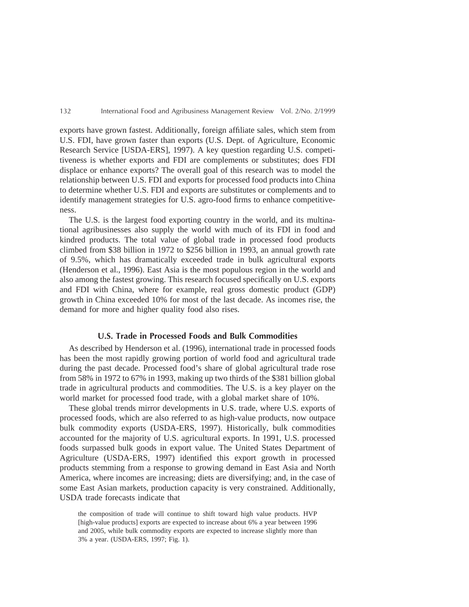exports have grown fastest. Additionally, foreign affiliate sales, which stem from U.S. FDI, have grown faster than exports (U.S. Dept. of Agriculture, Economic Research Service [USDA-ERS], 1997). A key question regarding U.S. competitiveness is whether exports and FDI are complements or substitutes; does FDI displace or enhance exports? The overall goal of this research was to model the relationship between U.S. FDI and exports for processed food products into China to determine whether U.S. FDI and exports are substitutes or complements and to identify management strategies for U.S. agro-food firms to enhance competitiveness.

The U.S. is the largest food exporting country in the world, and its multinational agribusinesses also supply the world with much of its FDI in food and kindred products. The total value of global trade in processed food products climbed from \$38 billion in 1972 to \$256 billion in 1993, an annual growth rate of 9.5%, which has dramatically exceeded trade in bulk agricultural exports (Henderson et al., 1996). East Asia is the most populous region in the world and also among the fastest growing. This research focused specifically on U.S. exports and FDI with China, where for example, real gross domestic product (GDP) growth in China exceeded 10% for most of the last decade. As incomes rise, the demand for more and higher quality food also rises.

## **U.S. Trade in Processed Foods and Bulk Commodities**

As described by Henderson et al. (1996), international trade in processed foods has been the most rapidly growing portion of world food and agricultural trade during the past decade. Processed food's share of global agricultural trade rose from 58% in 1972 to 67% in 1993, making up two thirds of the \$381 billion global trade in agricultural products and commodities. The U.S. is a key player on the world market for processed food trade, with a global market share of 10%.

These global trends mirror developments in U.S. trade, where U.S. exports of processed foods, which are also referred to as high-value products, now outpace bulk commodity exports (USDA-ERS, 1997). Historically, bulk commodities accounted for the majority of U.S. agricultural exports. In 1991, U.S. processed foods surpassed bulk goods in export value. The United States Department of Agriculture (USDA-ERS, 1997) identified this export growth in processed products stemming from a response to growing demand in East Asia and North America, where incomes are increasing; diets are diversifying; and, in the case of some East Asian markets, production capacity is very constrained. Additionally, USDA trade forecasts indicate that

the composition of trade will continue to shift toward high value products. HVP [high-value products] exports are expected to increase about 6% a year between 1996 and 2005, while bulk commodity exports are expected to increase slightly more than 3% a year. (USDA-ERS, 1997; Fig. 1).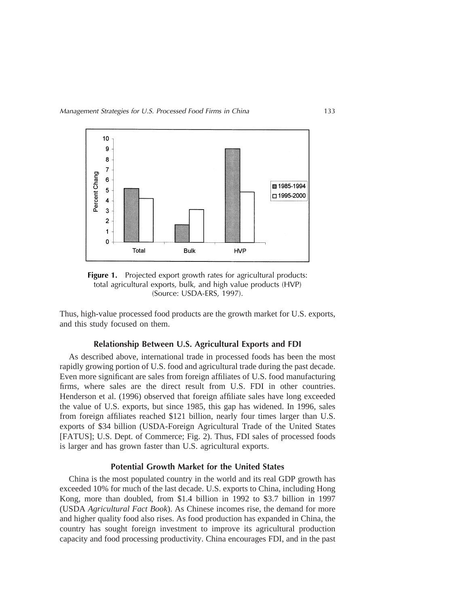

**Figure 1.** Projected export growth rates for agricultural products: total agricultural exports, bulk, and high value products (HVP) (Source: USDA-ERS, 1997).

Thus, high-value processed food products are the growth market for U.S. exports, and this study focused on them.

## **Relationship Between U.S. Agricultural Exports and FDI**

As described above, international trade in processed foods has been the most rapidly growing portion of U.S. food and agricultural trade during the past decade. Even more significant are sales from foreign affiliates of U.S. food manufacturing firms, where sales are the direct result from U.S. FDI in other countries. Henderson et al. (1996) observed that foreign affiliate sales have long exceeded the value of U.S. exports, but since 1985, this gap has widened. In 1996, sales from foreign affiliates reached \$121 billion, nearly four times larger than U.S. exports of \$34 billion (USDA-Foreign Agricultural Trade of the United States [FATUS]; U.S. Dept. of Commerce; Fig. 2). Thus, FDI sales of processed foods is larger and has grown faster than U.S. agricultural exports.

## **Potential Growth Market for the United States**

China is the most populated country in the world and its real GDP growth has exceeded 10% for much of the last decade. U.S. exports to China, including Hong Kong, more than doubled, from \$1.4 billion in 1992 to \$3.7 billion in 1997 (USDA *Agricultural Fact Book*). As Chinese incomes rise, the demand for more and higher quality food also rises. As food production has expanded in China, the country has sought foreign investment to improve its agricultural production capacity and food processing productivity. China encourages FDI, and in the past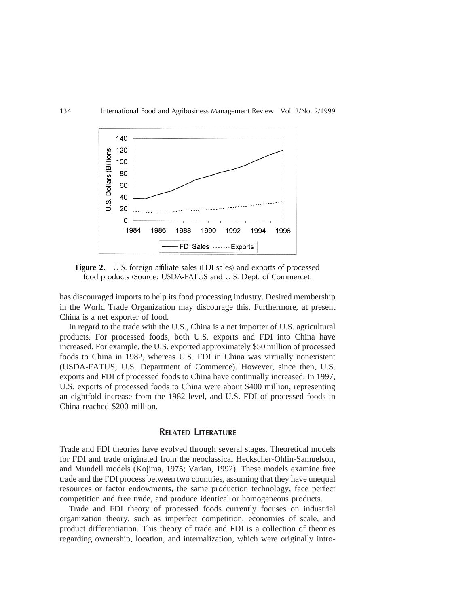

**Figure 2.** U.S. foreign affiliate sales (FDI sales) and exports of processed food products (Source: USDA-FATUS and U.S. Dept. of Commerce).

has discouraged imports to help its food processing industry. Desired membership in the World Trade Organization may discourage this. Furthermore, at present China is a net exporter of food.

In regard to the trade with the U.S., China is a net importer of U.S. agricultural products. For processed foods, both U.S. exports and FDI into China have increased. For example, the U.S. exported approximately \$50 million of processed foods to China in 1982, whereas U.S. FDI in China was virtually nonexistent (USDA-FATUS; U.S. Department of Commerce). However, since then, U.S. exports and FDI of processed foods to China have continually increased. In 1997, U.S. exports of processed foods to China were about \$400 million, representing an eightfold increase from the 1982 level, and U.S. FDI of processed foods in China reached \$200 million.

#### **RELATED LITERATURE**

Trade and FDI theories have evolved through several stages. Theoretical models for FDI and trade originated from the neoclassical Heckscher-Ohlin-Samuelson, and Mundell models (Kojima, 1975; Varian, 1992). These models examine free trade and the FDI process between two countries, assuming that they have unequal resources or factor endowments, the same production technology, face perfect competition and free trade, and produce identical or homogeneous products.

Trade and FDI theory of processed foods currently focuses on industrial organization theory, such as imperfect competition, economies of scale, and product differentiation. This theory of trade and FDI is a collection of theories regarding ownership, location, and internalization, which were originally intro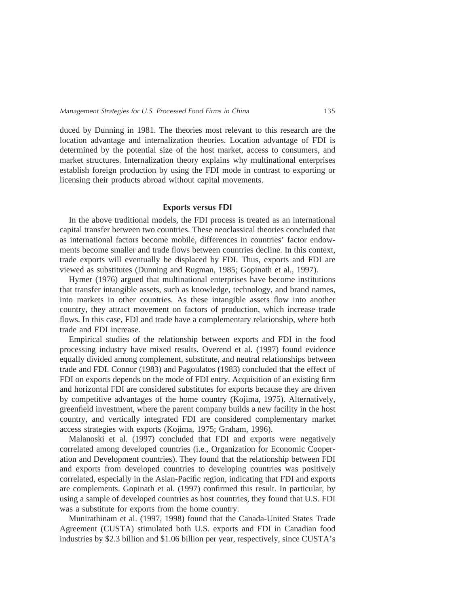duced by Dunning in 1981. The theories most relevant to this research are the location advantage and internalization theories. Location advantage of FDI is determined by the potential size of the host market, access to consumers, and market structures. Internalization theory explains why multinational enterprises establish foreign production by using the FDI mode in contrast to exporting or licensing their products abroad without capital movements.

#### **Exports versus FDI**

In the above traditional models, the FDI process is treated as an international capital transfer between two countries. These neoclassical theories concluded that as international factors become mobile, differences in countries' factor endowments become smaller and trade flows between countries decline. In this context, trade exports will eventually be displaced by FDI. Thus, exports and FDI are viewed as substitutes (Dunning and Rugman, 1985; Gopinath et al., 1997).

Hymer (1976) argued that multinational enterprises have become institutions that transfer intangible assets, such as knowledge, technology, and brand names, into markets in other countries. As these intangible assets flow into another country, they attract movement on factors of production, which increase trade flows. In this case, FDI and trade have a complementary relationship, where both trade and FDI increase.

Empirical studies of the relationship between exports and FDI in the food processing industry have mixed results. Overend et al. (1997) found evidence equally divided among complement, substitute, and neutral relationships between trade and FDI. Connor (1983) and Pagoulatos (1983) concluded that the effect of FDI on exports depends on the mode of FDI entry. Acquisition of an existing firm and horizontal FDI are considered substitutes for exports because they are driven by competitive advantages of the home country (Kojima, 1975). Alternatively, greenfield investment, where the parent company builds a new facility in the host country, and vertically integrated FDI are considered complementary market access strategies with exports (Kojima, 1975; Graham, 1996).

Malanoski et al. (1997) concluded that FDI and exports were negatively correlated among developed countries (i.e., Organization for Economic Cooperation and Development countries). They found that the relationship between FDI and exports from developed countries to developing countries was positively correlated, especially in the Asian-Pacific region, indicating that FDI and exports are complements. Gopinath et al. (1997) confirmed this result. In particular, by using a sample of developed countries as host countries, they found that U.S. FDI was a substitute for exports from the home country.

Munirathinam et al. (1997, 1998) found that the Canada-United States Trade Agreement (CUSTA) stimulated both U.S. exports and FDI in Canadian food industries by \$2.3 billion and \$1.06 billion per year, respectively, since CUSTA's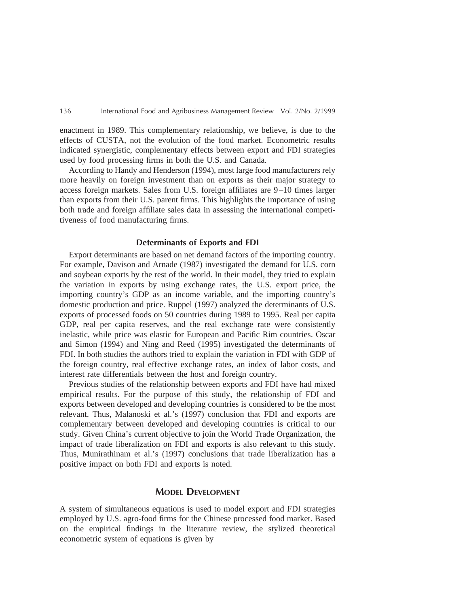enactment in 1989. This complementary relationship, we believe, is due to the effects of CUSTA, not the evolution of the food market. Econometric results indicated synergistic, complementary effects between export and FDI strategies used by food processing firms in both the U.S. and Canada.

According to Handy and Henderson (1994), most large food manufacturers rely more heavily on foreign investment than on exports as their major strategy to access foreign markets. Sales from U.S. foreign affiliates are 9–10 times larger than exports from their U.S. parent firms. This highlights the importance of using both trade and foreign affiliate sales data in assessing the international competitiveness of food manufacturing firms.

#### **Determinants of Exports and FDI**

Export determinants are based on net demand factors of the importing country. For example, Davison and Arnade (1987) investigated the demand for U.S. corn and soybean exports by the rest of the world. In their model, they tried to explain the variation in exports by using exchange rates, the U.S. export price, the importing country's GDP as an income variable, and the importing country's domestic production and price. Ruppel (1997) analyzed the determinants of U.S. exports of processed foods on 50 countries during 1989 to 1995. Real per capita GDP, real per capita reserves, and the real exchange rate were consistently inelastic, while price was elastic for European and Pacific Rim countries. Oscar and Simon (1994) and Ning and Reed (1995) investigated the determinants of FDI. In both studies the authors tried to explain the variation in FDI with GDP of the foreign country, real effective exchange rates, an index of labor costs, and interest rate differentials between the host and foreign country.

Previous studies of the relationship between exports and FDI have had mixed empirical results. For the purpose of this study, the relationship of FDI and exports between developed and developing countries is considered to be the most relevant. Thus, Malanoski et al.'s (1997) conclusion that FDI and exports are complementary between developed and developing countries is critical to our study. Given China's current objective to join the World Trade Organization, the impact of trade liberalization on FDI and exports is also relevant to this study. Thus, Munirathinam et al.'s (1997) conclusions that trade liberalization has a positive impact on both FDI and exports is noted.

## **MODEL DEVELOPMENT**

A system of simultaneous equations is used to model export and FDI strategies employed by U.S. agro-food firms for the Chinese processed food market. Based on the empirical findings in the literature review, the stylized theoretical econometric system of equations is given by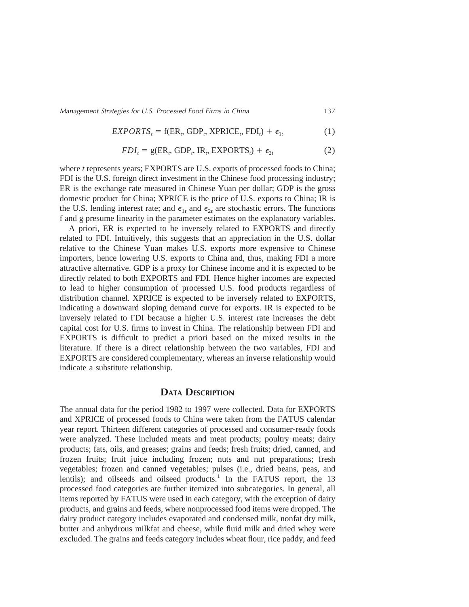$$
EXPORTS_t = f(ER_t, GDP_t, XPRICE_t, FDI_t) + \epsilon_{1t}
$$
 (1)

$$
FDI_t = g(ER_t, GDP_t, IR_t, EXPORTS_t) + \epsilon_{2t}
$$
 (2)

where *t* represents years; EXPORTS are U.S. exports of processed foods to China; FDI is the U.S. foreign direct investment in the Chinese food processing industry; ER is the exchange rate measured in Chinese Yuan per dollar; GDP is the gross domestic product for China; XPRICE is the price of U.S. exports to China; IR is the U.S. lending interest rate; and  $\epsilon_{1t}$  and  $\epsilon_{2t}$  are stochastic errors. The functions f and g presume linearity in the parameter estimates on the explanatory variables.

A priori, ER is expected to be inversely related to EXPORTS and directly related to FDI. Intuitively, this suggests that an appreciation in the U.S. dollar relative to the Chinese Yuan makes U.S. exports more expensive to Chinese importers, hence lowering U.S. exports to China and, thus, making FDI a more attractive alternative. GDP is a proxy for Chinese income and it is expected to be directly related to both EXPORTS and FDI. Hence higher incomes are expected to lead to higher consumption of processed U.S. food products regardless of distribution channel. XPRICE is expected to be inversely related to EXPORTS, indicating a downward sloping demand curve for exports. IR is expected to be inversely related to FDI because a higher U.S. interest rate increases the debt capital cost for U.S. firms to invest in China. The relationship between FDI and EXPORTS is difficult to predict a priori based on the mixed results in the literature. If there is a direct relationship between the two variables, FDI and EXPORTS are considered complementary, whereas an inverse relationship would indicate a substitute relationship.

## **DATA DESCRIPTION**

The annual data for the period 1982 to 1997 were collected. Data for EXPORTS and XPRICE of processed foods to China were taken from the FATUS calendar year report. Thirteen different categories of processed and consumer-ready foods were analyzed. These included meats and meat products; poultry meats; dairy products; fats, oils, and greases; grains and feeds; fresh fruits; dried, canned, and frozen fruits; fruit juice including frozen; nuts and nut preparations; fresh vegetables; frozen and canned vegetables; pulses (i.e., dried beans, peas, and lentils); and oilseeds and oilseed products.<sup>1</sup> In the FATUS report, the 13 processed food categories are further itemized into subcategories. In general, all items reported by FATUS were used in each category, with the exception of dairy products, and grains and feeds, where nonprocessed food items were dropped. The dairy product category includes evaporated and condensed milk, nonfat dry milk, butter and anhydrous milkfat and cheese, while fluid milk and dried whey were excluded. The grains and feeds category includes wheat flour, rice paddy, and feed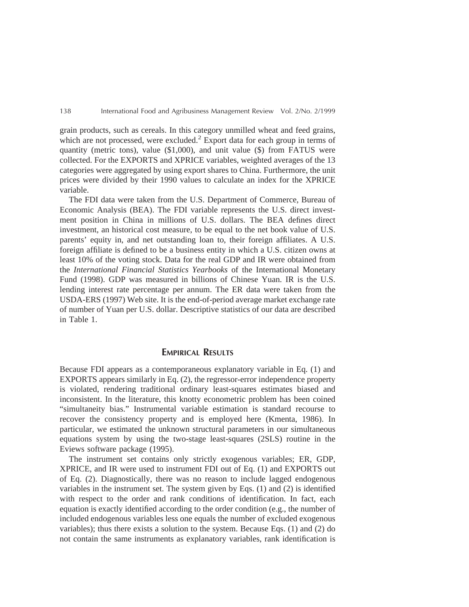grain products, such as cereals. In this category unmilled wheat and feed grains, which are not processed, were excluded.<sup>2</sup> Export data for each group in terms of quantity (metric tons), value (\$1,000), and unit value (\$) from FATUS were collected. For the EXPORTS and XPRICE variables, weighted averages of the 13 categories were aggregated by using export shares to China. Furthermore, the unit prices were divided by their 1990 values to calculate an index for the XPRICE variable.

The FDI data were taken from the U.S. Department of Commerce, Bureau of Economic Analysis (BEA). The FDI variable represents the U.S. direct investment position in China in millions of U.S. dollars. The BEA defines direct investment, an historical cost measure, to be equal to the net book value of U.S. parents' equity in, and net outstanding loan to, their foreign affiliates. A U.S. foreign affiliate is defined to be a business entity in which a U.S. citizen owns at least 10% of the voting stock. Data for the real GDP and IR were obtained from the *International Financial Statistics Yearbooks* of the International Monetary Fund (1998). GDP was measured in billions of Chinese Yuan. IR is the U.S. lending interest rate percentage per annum. The ER data were taken from the USDA-ERS (1997) Web site. It is the end-of-period average market exchange rate of number of Yuan per U.S. dollar. Descriptive statistics of our data are described in Table 1.

# **EMPIRICAL RESULTS**

Because FDI appears as a contemporaneous explanatory variable in Eq. (1) and EXPORTS appears similarly in Eq. (2), the regressor-error independence property is violated, rendering traditional ordinary least-squares estimates biased and inconsistent. In the literature, this knotty econometric problem has been coined "simultaneity bias." Instrumental variable estimation is standard recourse to recover the consistency property and is employed here (Kmenta, 1986). In particular, we estimated the unknown structural parameters in our simultaneous equations system by using the two-stage least-squares (2SLS) routine in the Eviews software package (1995).

The instrument set contains only strictly exogenous variables; ER, GDP, XPRICE, and IR were used to instrument FDI out of Eq. (1) and EXPORTS out of Eq. (2). Diagnostically, there was no reason to include lagged endogenous variables in the instrument set. The system given by Eqs. (1) and (2) is identified with respect to the order and rank conditions of identification. In fact, each equation is exactly identified according to the order condition (e.g., the number of included endogenous variables less one equals the number of excluded exogenous variables); thus there exists a solution to the system. Because Eqs. (1) and (2) do not contain the same instruments as explanatory variables, rank identification is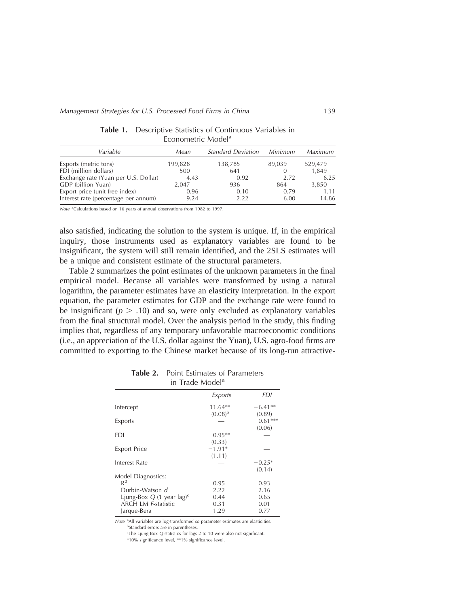| LCONOMICATE MOUCH                    |         |                           |         |                |  |  |
|--------------------------------------|---------|---------------------------|---------|----------------|--|--|
| Variable                             | Mean    | <b>Standard Deviation</b> | Minimum | <b>Maximum</b> |  |  |
| Exports (metric tons)                | 199,828 | 138,785                   | 89,039  | 529,479        |  |  |
| FDI (million dollars)                | 500     | 641                       |         | 1.849          |  |  |
| Exchange rate (Yuan per U.S. Dollar) | 4.43    | 0.92                      | 2.72    | 6.25           |  |  |
| GDP (billion Yuan)                   | 2.047   | 936                       | 864     | 3.850          |  |  |
| Export price (unit-free index)       | 0.96    | 0.10                      | 0.79    | 1.11           |  |  |
| Interest rate (percentage per annum) | 9.24    | 2.22                      | 6.00    | 14.86          |  |  |

**Table 1.** Descriptive Statistics of Continuous Variables in Econometric Modela

Note <sup>a</sup>Calculations based on 16 years of annual observations from 1982 to 1997.

also satisfied, indicating the solution to the system is unique. If, in the empirical inquiry, those instruments used as explanatory variables are found to be insignificant, the system will still remain identified, and the 2SLS estimates will be a unique and consistent estimate of the structural parameters.

Table 2 summarizes the point estimates of the unknown parameters in the final empirical model. Because all variables were transformed by using a natural logarithm, the parameter estimates have an elasticity interpretation. In the export equation, the parameter estimates for GDP and the exchange rate were found to be insignificant  $(p > .10)$  and so, were only excluded as explanatory variables from the final structural model. Over the analysis period in the study, this finding implies that, regardless of any temporary unfavorable macroeconomic conditions (i.e., an appreciation of the U.S. dollar against the Yuan), U.S. agro-food firms are committed to exporting to the Chinese market because of its long-run attractive-

|                                         | Exports      | <b>FDI</b> |
|-----------------------------------------|--------------|------------|
| Intercept                               | $11.64**$    | $-6.41**$  |
|                                         | $(0.08)^{b}$ | (0.89)     |
| Exports                                 |              | $0.61***$  |
|                                         |              | (0.06)     |
| <b>FDI</b>                              | $0.95**$     |            |
|                                         | (0.33)       |            |
| <b>Export Price</b>                     | $-1.91*$     |            |
|                                         | (1.11)       |            |
| Interest Rate                           |              | $-0.25*$   |
|                                         |              | (0.14)     |
| Model Diagnostics:                      |              |            |
| $R^2$                                   | 0.95         | 0.93       |
| Durbin-Watson d                         | 2.22         | 2.16       |
| Ljung-Box $Q$ (1 year lag) <sup>c</sup> | 0.44         | 0.65       |
| <b>ARCH LM F-statistic</b>              | 0.31         | 0.01       |
| Jarque-Bera                             | 1.29         | 0.77       |

**Table 2.** Point Estimates of Parameters in Trade Model<sup>a</sup>

Note <sup>a</sup> All variables are log-transformed so parameter estimates are elasticities. bStandard errors are in parentheses.

<sup>c</sup>The Ljung-Box Q-statistics for lags 2 to 10 were also not significant.

\*10% significance level, \*\*1% significance level.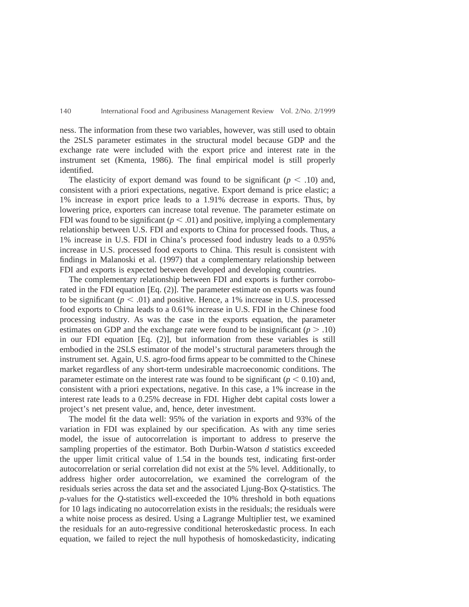ness. The information from these two variables, however, was still used to obtain the 2SLS parameter estimates in the structural model because GDP and the exchange rate were included with the export price and interest rate in the instrument set (Kmenta, 1986). The final empirical model is still properly identified.

The elasticity of export demand was found to be significant  $(p < .10)$  and, consistent with a priori expectations, negative. Export demand is price elastic; a 1% increase in export price leads to a 1.91% decrease in exports. Thus, by lowering price, exporters can increase total revenue. The parameter estimate on FDI was found to be significant ( $p < .01$ ) and positive, implying a complementary relationship between U.S. FDI and exports to China for processed foods. Thus, a 1% increase in U.S. FDI in China's processed food industry leads to a 0.95% increase in U.S. processed food exports to China. This result is consistent with findings in Malanoski et al. (1997) that a complementary relationship between FDI and exports is expected between developed and developing countries.

The complementary relationship between FDI and exports is further corroborated in the FDI equation [Eq. (2)]. The parameter estimate on exports was found to be significant ( $p < .01$ ) and positive. Hence, a 1% increase in U.S. processed food exports to China leads to a 0.61% increase in U.S. FDI in the Chinese food processing industry. As was the case in the exports equation, the parameter estimates on GDP and the exchange rate were found to be insignificant  $(p > .10)$ in our FDI equation [Eq. (2)], but information from these variables is still embodied in the 2SLS estimator of the model's structural parameters through the instrument set. Again, U.S. agro-food firms appear to be committed to the Chinese market regardless of any short-term undesirable macroeconomic conditions. The parameter estimate on the interest rate was found to be significant ( $p < 0.10$ ) and, consistent with a priori expectations, negative. In this case, a 1% increase in the interest rate leads to a 0.25% decrease in FDI. Higher debt capital costs lower a project's net present value, and, hence, deter investment.

The model fit the data well: 95% of the variation in exports and 93% of the variation in FDI was explained by our specification. As with any time series model, the issue of autocorrelation is important to address to preserve the sampling properties of the estimator. Both Durbin-Watson *d* statistics exceeded the upper limit critical value of 1.54 in the bounds test, indicating first-order autocorrelation or serial correlation did not exist at the 5% level. Additionally, to address higher order autocorrelation, we examined the correlogram of the residuals series across the data set and the associated Ljung-Box *Q*-statistics. The *p*-values for the *Q*-statistics well-exceeded the 10% threshold in both equations for 10 lags indicating no autocorrelation exists in the residuals; the residuals were a white noise process as desired. Using a Lagrange Multiplier test, we examined the residuals for an auto-regressive conditional heteroskedastic process. In each equation, we failed to reject the null hypothesis of homoskedasticity, indicating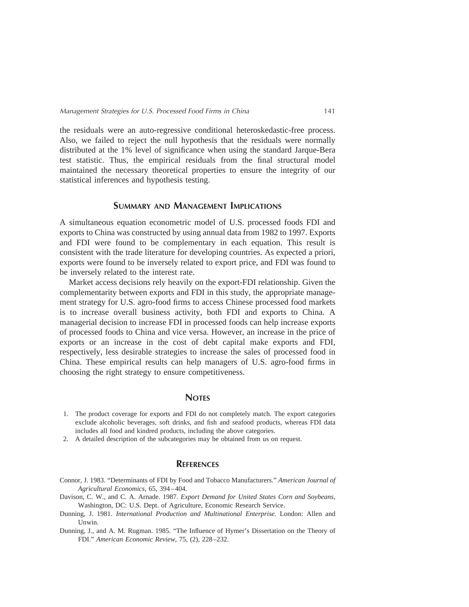the residuals were an auto-regressive conditional heteroskedastic-free process. Also, we failed to reject the null hypothesis that the residuals were normally distributed at the 1% level of significance when using the standard Jarque-Bera test statistic. Thus, the empirical residuals from the final structural model maintained the necessary theoretical properties to ensure the integrity of our statistical inferences and hypothesis testing.

## **SUMMARY AND MANAGEMENT IMPLICATIONS**

A simultaneous equation econometric model of U.S. processed foods FDI and exports to China was constructed by using annual data from 1982 to 1997. Exports and FDI were found to be complementary in each equation. This result is consistent with the trade literature for developing countries. As expected a priori, exports were found to be inversely related to export price, and FDI was found to be inversely related to the interest rate.

Market access decisions rely heavily on the export-FDI relationship. Given the complementarity between exports and FDI in this study, the appropriate management strategy for U.S. agro-food firms to access Chinese processed food markets is to increase overall business activity, both FDI and exports to China. A managerial decision to increase FDI in processed foods can help increase exports of processed foods to China and vice versa. However, an increase in the price of exports or an increase in the cost of debt capital make exports and FDI, respectively, less desirable strategies to increase the sales of processed food in China. These empirical results can help managers of U.S. agro-food firms in choosing the right strategy to ensure competitiveness.

## **NOTES**

- 1. The product coverage for exports and FDI do not completely match. The export categories exclude alcoholic beverages, soft drinks, and fish and seafood products, whereas FDI data includes all food and kindred products, including the above categories.
- 2. A detailed description of the subcategories may be obtained from us on request.

#### **REFERENCES**

- Connor, J. 1983. "Determinants of FDI by Food and Tobacco Manufacturers." *American Journal of Agricultural Economics,* 65, 394–404.
- Davison, C. W., and C. A. Arnade. 1987. *Export Demand for United States Corn and Soybeans,* Washington, DC: U.S. Dept. of Agriculture, Economic Research Service.
- Dunning, J. 1981. *International Production and Multinational Enterprise.* London: Allen and Unwin.
- Dunning, J., and A. M. Rugman. 1985. "The Influence of Hymer's Dissertation on the Theory of FDI." *American Economic Review,* 75, (2), 228–232.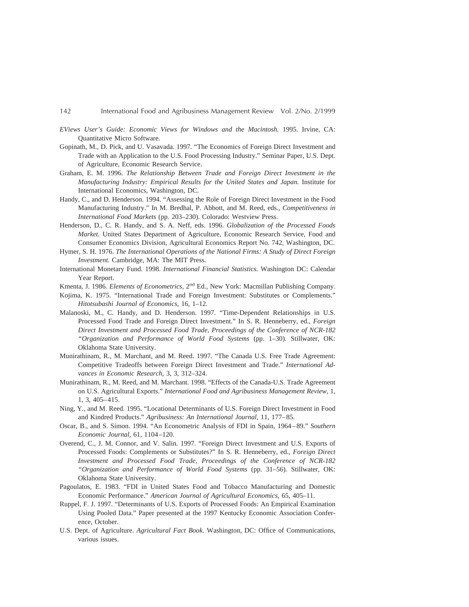- *EViews User's Guide: Economic Views for Windows and the Macintosh.* 1995. Irvine, CA: Quantitative Micro Software.
- Gopinath, M., D. Pick, and U. Vasavada. 1997. "The Economics of Foreign Direct Investment and Trade with an Application to the U.S. Food Processing Industry." Seminar Paper, U.S. Dept. of Agriculture, Economic Research Service.
- Graham, E. M. 1996. *The Relationship Between Trade and Foreign Direct Investment in the Manufacturing Industry: Empirical Results for the United States and Japan.* Institute for International Economics, Washington, DC.
- Handy, C., and D. Henderson. 1994. "Assessing the Role of Foreign Direct Investment in the Food Manufacturing Industry." In M. Bredhal, P. Abbott, and M. Reed, eds., *Competitiveness in International Food Markets* (pp. 203–230). Colorado: Westview Press.
- Henderson, D., C. R. Handy, and S. A. Neff, eds. 1996. *Globalization of the Processed Foods Market.* United States Department of Agriculture, Economic Research Service, Food and Consumer Economics Division, Agricultural Economics Report No. 742, Washington, DC.
- Hymer, S. H. 1976. *The International Operations of the National Firms: A Study of Direct Foreign Investment*. Cambridge, MA: The MIT Press.
- International Monetary Fund. 1998. *International Financial Statistics.* Washington DC: Calendar Year Report.
- Kmenta, J. 1986. *Elements of Econometrics,* 2nd Ed., New York: Macmillan Publishing Company.
- Kojima, K. 1975. "International Trade and Foreign Investment: Substitutes or Complements." *Hitotsubashi Journal of Economics,* 16, 1–12.
- Malanoski, M., C. Handy, and D. Henderson. 1997. "Time-Dependent Relationships in U.S. Processed Food Trade and Foreign Direct Investment." In S. R. Henneberry, ed., *Foreign Direct Investment and Processed Food Trade, Proceedings of the Conference of NCR-182 "Organization and Performance of World Food Systems* (pp. 1–30). Stillwater, OK: Oklahoma State University.
- Munirathinam, R., M. Marchant, and M. Reed. 1997. "The Canada U.S. Free Trade Agreement: Competitive Tradeoffs between Foreign Direct Investment and Trade." *International Advances in Economic Research,* 3, 3, 312–324.
- Munirathinam, R., M. Reed, and M. Marchant. 1998. "Effects of the Canada-U.S. Trade Agreement on U.S. Agricultural Exports." *International Food and Agribusiness Management Review,* 1, 1, 3, 405–415.
- Ning, Y., and M. Reed. 1995. "Locational Determinants of U.S. Foreign Direct Investment in Food and Kindred Products." *Agribusiness: An International Journal,* 11, 177–85.
- Oscar, B., and S. Simon. 1994. "An Econometric Analysis of FDI in Spain, 1964–89." *Southern Economic Journal,* 61, 1104–120.
- Overend, C., J. M. Connor, and V. Salin. 1997. "Foreign Direct Investment and U.S. Exports of Processed Foods: Complements or Substitutes?" In S. R. Henneberry, ed., *Foreign Direct Investment and Processed Food Trade, Proceedings of the Conference of NCR-182 "Organization and Performance of World Food Systems* (pp. 31–56). Stillwater, OK: Oklahoma State University.
- Pagoulatos, E. 1983. "FDI in United States Food and Tobacco Manufacturing and Domestic Economic Performance." *American Journal of Agricultural Economics,* 65, 405–11.
- Ruppel, F. J. 1997. "Determinants of U.S. Exports of Processed Foods: An Empirical Examination Using Pooled Data." Paper presented at the 1997 Kentucky Economic Association Conference, October.
- U.S. Dept. of Agriculture. *Agricultural Fact Book*. Washington, DC: Office of Communications, various issues.